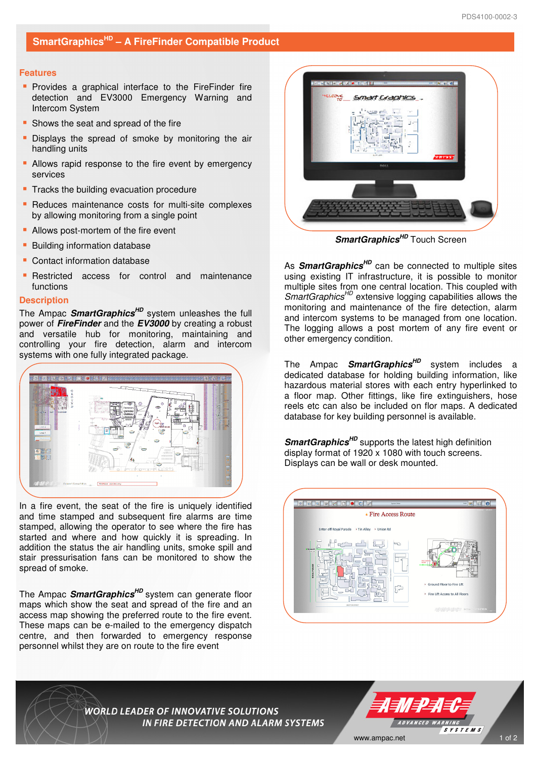### **Features**

- **Provides a graphical interface to the FireFinder fire** detection and EV3000 Emergency Warning and Intercom System
- **Shows the seat and spread of the fire**
- **Displays the spread of smoke by monitoring the air** handling units
- **-** Allows rapid response to the fire event by emergency services
- **Tracks the building evacuation procedure**
- **Reduces maintenance costs for multi-site complexes** by allowing monitoring from a single point
- Allows post-mortem of the fire event
- **Building information database**
- **Contact information database**
- **-** Restricted access for control and maintenance functions

# **Description**

The Ampac **SmartGraphicsHD** system unleashes the full power of **FireFinder** and the **EV3000** by creating a robust and versatile hub for monitoring, maintaining and controlling your fire detection, alarm and intercom systems with one fully integrated package.



In a fire event, the seat of the fire is uniquely identified and time stamped and subsequent fire alarms are time stamped, allowing the operator to see where the fire has started and where and how quickly it is spreading. In addition the status the air handling units, smoke spill and stair pressurisation fans can be monitored to show the spread of smoke.

The Ampac **SmartGraphicsHD** system can generate floor maps which show the seat and spread of the fire and an access map showing the preferred route to the fire event. These maps can be e-mailed to the emergency dispatch centre, and then forwarded to emergency response personnel whilst they are on route to the fire event



**SmartGraphics<sup>HD</sup>** Touch Screen

As **SmartGraphicsHD** can be connected to multiple sites using existing IT infrastructure, it is possible to monitor multiple sites from one central location. This coupled with SmartGraphics<sup>HD</sup> extensive logging capabilities allows the monitoring and maintenance of the fire detection, alarm and intercom systems to be managed from one location. The logging allows a post mortem of any fire event or other emergency condition.

The Ampac **SmartGraphicsHD** system includes a dedicated database for holding building information, like hazardous material stores with each entry hyperlinked to a floor map. Other fittings, like fire extinguishers, hose reels etc can also be included on flor maps. A dedicated database for key building personnel is available.

**SmartGraphicsHD** supports the latest high definition display format of 1920 x 1080 with touch screens. Displays can be wall or desk mounted.



**WORLD LEADER OF INNOVATIVE SOLUTIONS IN FIRE DETECTION AND ALARM SYSTEMS**